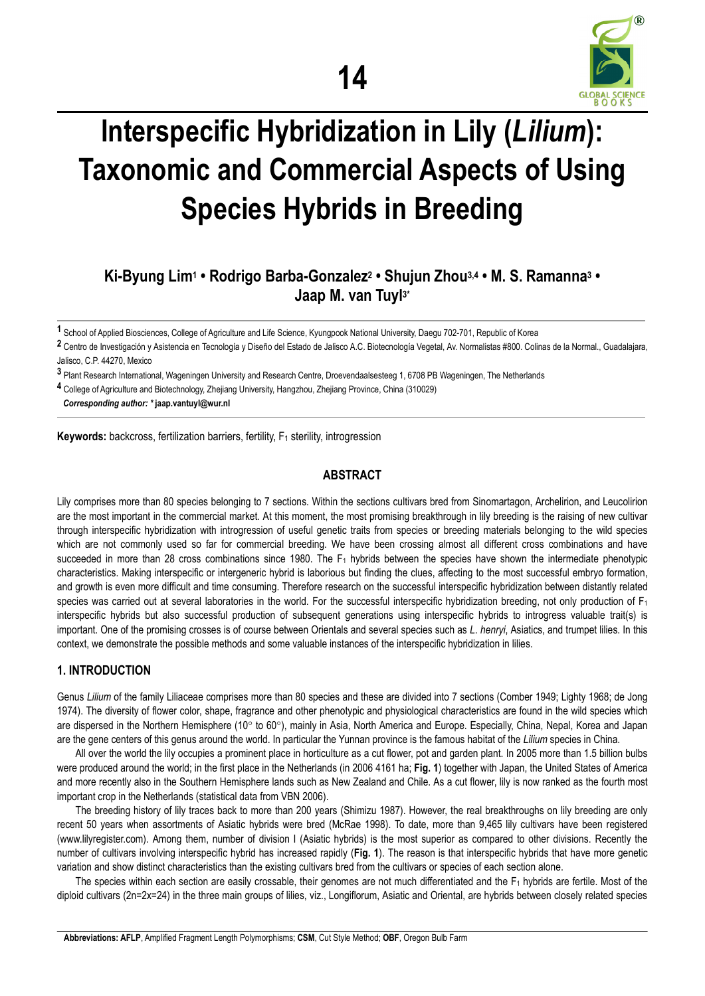

# **Interspecific Hybridization in Lily (***Lilium***): Taxonomic and Commercial Aspects of Using Species Hybrids in Breeding**

# **Ki-Byung Lim1 • Rodrigo Barba-Gonzalez2 • Shujun Zhou3,4 • M. S. Ramanna3 • Jaap M. van Tuyl3\***

**1** School of Applied Biosciences, College of Agriculture and Life Science, Kyungpook National University, Daegu 702-701, Republic of Korea

**2** Centro de Investigación y Asistencia en Tecnología y Diseño del Estado de Jalisco A.C. Biotecnología Vegetal, Av. Normalistas #800. Colinas de la Normal., Guadalajara, Jalisco, C.P. 44270, Mexico

**3** Plant Research International, Wageningen University and Research Centre, Droevendaalsesteeg 1, 6708 PB Wageningen, The Netherlands

**4** College of Agriculture and Biotechnology, Zhejiang University, Hangzhou, Zhejiang Province, China (310029)

*Corresponding author: \** **jaap.vantuyl@wur.nl** 

**Keywords:** backcross, fertilization barriers, fertility, F<sub>1</sub> sterility, introgression

# **ABSTRACT**

Lily comprises more than 80 species belonging to 7 sections. Within the sections cultivars bred from Sinomartagon, Archelirion, and Leucolirion are the most important in the commercial market. At this moment, the most promising breakthrough in lily breeding is the raising of new cultivar through interspecific hybridization with introgression of useful genetic traits from species or breeding materials belonging to the wild species which are not commonly used so far for commercial breeding. We have been crossing almost all different cross combinations and have succeeded in more than 28 cross combinations since 1980. The F<sub>1</sub> hybrids between the species have shown the intermediate phenotypic characteristics. Making interspecific or intergeneric hybrid is laborious but finding the clues, affecting to the most successful embryo formation, and growth is even more difficult and time consuming. Therefore research on the successful interspecific hybridization between distantly related species was carried out at several laboratories in the world. For the successful interspecific hybridization breeding, not only production of  $F_1$ interspecific hybrids but also successful production of subsequent generations using interspecific hybrids to introgress valuable trait(s) is important. One of the promising crosses is of course between Orientals and several species such as *L*. *henryi*, Asiatics, and trumpet lilies. In this context, we demonstrate the possible methods and some valuable instances of the interspecific hybridization in lilies.

# **1. INTRODUCTION**

Genus *Lilium* of the family Liliaceae comprises more than 80 species and these are divided into 7 sections (Comber 1949; Lighty 1968; de Jong 1974). The diversity of flower color, shape, fragrance and other phenotypic and physiological characteristics are found in the wild species which are dispersed in the Northern Hemisphere (10° to 60°), mainly in Asia, North America and Europe. Especially, China, Nepal, Korea and Japan are the gene centers of this genus around the world. In particular the Yunnan province is the famous habitat of the *Lilium* species in China.

All over the world the lily occupies a prominent place in horticulture as a cut flower, pot and garden plant. In 2005 more than 1.5 billion bulbs were produced around the world; in the first place in the Netherlands (in 2006 4161 ha; **Fig. 1**) together with Japan, the United States of America and more recently also in the Southern Hemisphere lands such as New Zealand and Chile. As a cut flower, lily is now ranked as the fourth most important crop in the Netherlands (statistical data from VBN 2006).

The breeding history of lily traces back to more than 200 years (Shimizu 1987). However, the real breakthroughs on lily breeding are only recent 50 years when assortments of Asiatic hybrids were bred (McRae 1998). To date, more than 9,465 lily cultivars have been registered (www.lilyregister.com). Among them, number of division I (Asiatic hybrids) is the most superior as compared to other divisions. Recently the number of cultivars involving interspecific hybrid has increased rapidly (**Fig. 1**). The reason is that interspecific hybrids that have more genetic variation and show distinct characteristics than the existing cultivars bred from the cultivars or species of each section alone.

The species within each section are easily crossable, their genomes are not much differentiated and the  $F_1$  hybrids are fertile. Most of the diploid cultivars (2n=2x=24) in the three main groups of lilies, viz., Longiflorum, Asiatic and Oriental, are hybrids between closely related species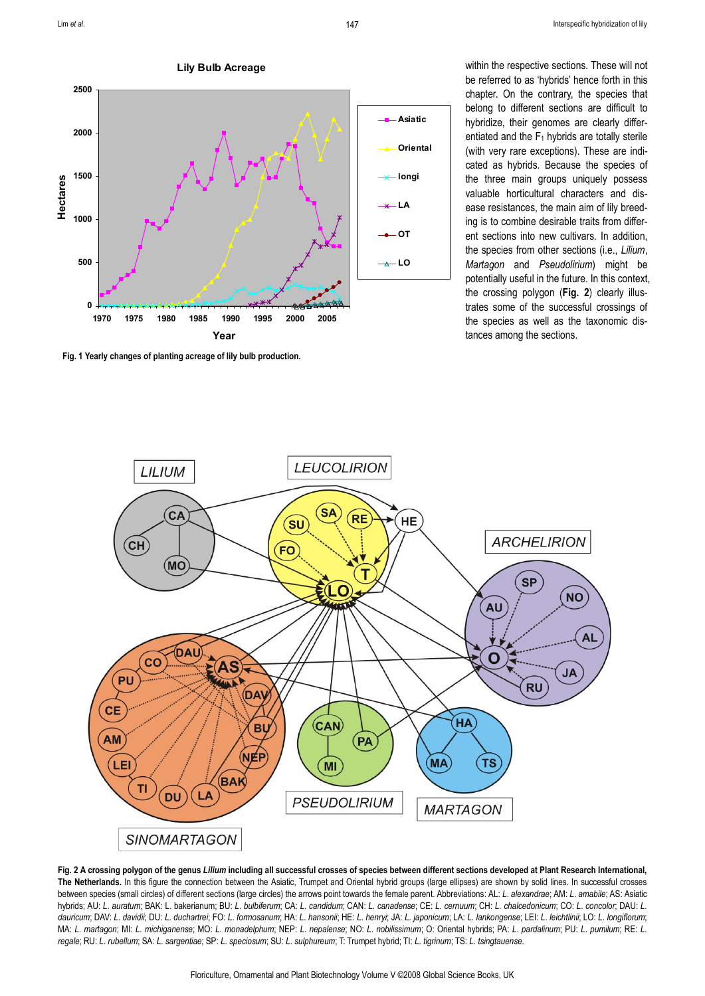**Lily Bulb Acreage**



**Fig. 1 Yearly changes of planting acreage of lily bulb production.**

within the respective sections. These will not be referred to as 'hybrids' hence forth in this chapter. On the contrary, the species that belong to different sections are difficult to hybridize, their genomes are clearly differentiated and the  $F_1$  hybrids are totally sterile (with very rare exceptions). These are indicated as hybrids. Because the species of the three main groups uniquely possess valuable horticultural characters and disease resistances, the main aim of lily breeding is to combine desirable traits from different sections into new cultivars. In addition, the species from other sections (i.e., *Lilium*, *Martagon* and *Pseudolirium*) might be potentially useful in the future. In this context, the crossing polygon (**Fig. 2**) clearly illustrates some of the successful crossings of the species as well as the taxonomic distances among the sections.



**Fig. 2 A crossing polygon of the genus** *Lilium* **including all successful crosses of species between different sections developed at Plant Research International, The Netherlands.** In this figure the connection between the Asiatic, Trumpet and Oriental hybrid groups (large ellipses) are shown by solid lines. In successful crosses between species (small circles) of different sections (large circles) the arrows point towards the female parent. Abbreviations: AL: *L*. *alexandrae*; AM: *L*. *amabile*; AS: Asiatic hybrids; AU: L. auratum; BAK: L. bakerianum; BU: L. bulbiferum; CA: L. candidum; CAN: L. canadense; CE: L. cemuum; CH: L. chalcedonicum; CO: L. concolor; DAU: L. dauricum; DAV: L. davidii; DU: L. duchartrei; FO: L. formosanum; HA: L. hansonii; HE: L. henryi; JA: L. japonicum; LA: L. lankongense; LEI: L. leichtlinii; LO: L. longiflorum; MA: L. martagon; MI: L. michiganense; MO: L. monadelphum; NEP: L. nepalense; NO: L. nobilissimum; O: Oriental hybrids; PA: L. pardalinum; PU: L. pumilum; RE: L. regale; RU: L. rubellum; SA: L. sargentiae; SP: L. speciosum; SU: L. sulphureum; T: Trumpet hybrid; TI: L. tigrinum; TS: L. tsingtauense.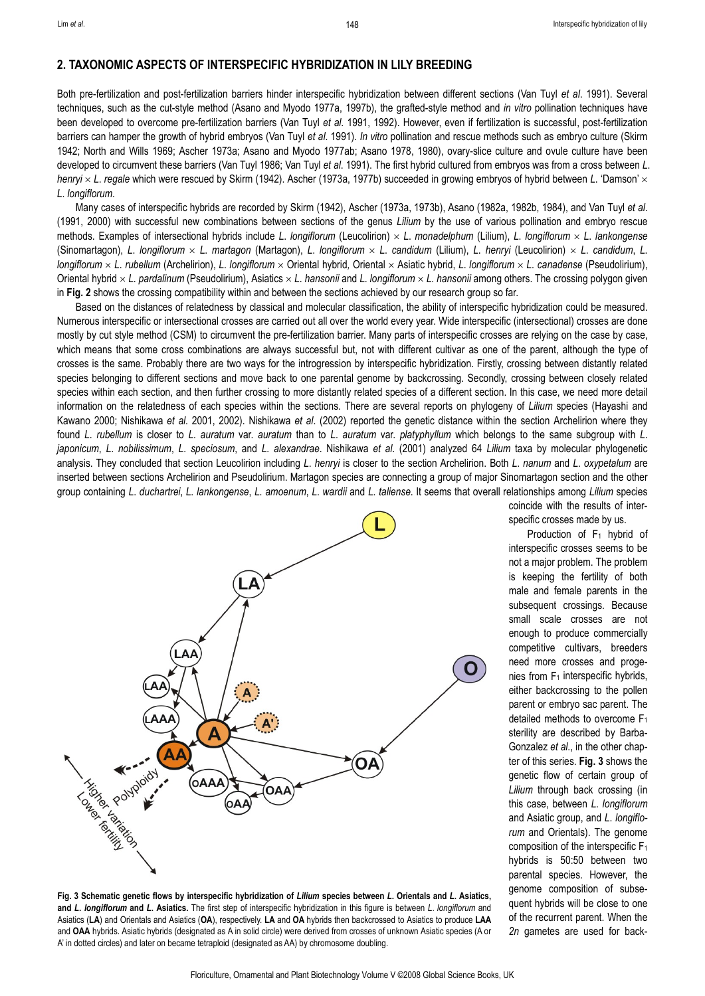#### **2. TAXONOMIC ASPECTS OF INTERSPECIFIC HYBRIDIZATION IN LILY BREEDING**

Both pre-fertilization and post-fertilization barriers hinder interspecific hybridization between different sections (Van Tuyl *et al*. 1991). Several techniques, such as the cut-style method (Asano and Myodo 1977a, 1997b), the grafted-style method and *in vitro* pollination techniques have been developed to overcome pre-fertilization barriers (Van Tuyl *et al*. 1991, 1992). However, even if fertilization is successful, post-fertilization barriers can hamper the growth of hybrid embryos (Van Tuyl *et al*. 1991). *In vitro* pollination and rescue methods such as embryo culture (Skirm 1942; North and Wills 1969; Ascher 1973a; Asano and Myodo 1977ab; Asano 1978, 1980), ovary-slice culture and ovule culture have been developed to circumvent these barriers (Van Tuyl 1986; Van Tuyl *et al*. 1991). The first hybrid cultured from embryos was from a cross between *L*. *henryi* × *L*. *regale* which were rescued by Skirm (1942). Ascher (1973a, 1977b) succeeded in growing embryos of hybrid between *L*. 'Damson' × *L*. *longiflorum*.

Many cases of interspecific hybrids are recorded by Skirm (1942), Ascher (1973a, 1973b), Asano (1982a, 1982b, 1984), and Van Tuyl *et al*. (1991, 2000) with successful new combinations between sections of the genus *Lilium* by the use of various pollination and embryo rescue methods. Examples of intersectional hybrids include *L*. *longiflorum* (Leucolirion) × *L*. *monadelphum* (Lilium), *L*. *longiflorum* × *L*. *lankongense*  (Sinomartagon), L. longiflorum  $\times$  L. martagon (Martagon), L. longiflorum  $\times$  L. candidum (Lilium), L. henryi (Leucolirion)  $\times$  L. candidum, L. *longiflorum* × *L*. *rubellum* (Archelirion), *L*. *longiflorum* × Oriental hybrid*,* Oriental × Asiatic hybrid, *L*. *longiflorum* × *L*. *canadense* (Pseudolirium), Oriental hybrid × *L*. *pardalinum* (Pseudolirium), Asiatics × *L*. *hansonii* and *L*. *longiflorum* × *L*. *hansonii* among others. The crossing polygon given in **Fig. 2** shows the crossing compatibility within and between the sections achieved by our research group so far.

Based on the distances of relatedness by classical and molecular classification, the ability of interspecific hybridization could be measured. Numerous interspecific or intersectional crosses are carried out all over the world every year. Wide interspecific (intersectional) crosses are done mostly by cut style method (CSM) to circumvent the pre-fertilization barrier. Many parts of interspecific crosses are relying on the case by case, which means that some cross combinations are always successful but, not with different cultivar as one of the parent, although the type of crosses is the same. Probably there are two ways for the introgression by interspecific hybridization. Firstly, crossing between distantly related species belonging to different sections and move back to one parental genome by backcrossing. Secondly, crossing between closely related species within each section, and then further crossing to more distantly related species of a different section. In this case, we need more detail information on the relatedness of each species within the sections. There are several reports on phylogeny of *Lilium* species (Hayashi and Kawano 2000; Nishikawa *et al*. 2001, 2002). Nishikawa *et al*. (2002) reported the genetic distance within the section Archelirion where they found *L*. *rubellum* is closer to *L*. *auratum* var. *auratum* than to *L*. *auratum* var. *platyphyllum* which belongs to the same subgroup with *L*. *japonicum*, *L*. *nobilissimum*, *L*. *speciosum*, and *L*. *alexandrae*. Nishikawa *et al*. (2001) analyzed 64 *Lilium* taxa by molecular phylogenetic analysis. They concluded that section Leucolirion including *L*. *henryi* is closer to the section Archelirion. Both *L*. *nanum* and *L*. *oxypetalum* are inserted between sections Archelirion and Pseudolirium. Martagon species are connecting a group of major Sinomartagon section and the other group containing *L*. *duchartrei*, *L*. *lankongense*, *L*. *amoenum*, *L*. *wardii* and *L*. *taliense*. It seems that overall relationships among *Lilium* species



**Fig. 3 Schematic genetic flows by interspecific hybridization of** *Lilium* **species between** *L***. Orientals and** *L***. Asiatics, and** *L***.** *longiflorum* **and** *L***. Asiatics.** The first step of interspecific hybridization in this figure is between *L*. *longiflorum* and Asiatics (**LA**) and Orientals and Asiatics (**OA**), respectively. **LA** and **OA** hybrids then backcrossed to Asiatics to produce **LAA** and **OAA** hybrids. Asiatic hybrids (designated as A in solid circle) were derived from crosses of unknown Asiatic species (A or A' in dotted circles) and later on became tetraploid (designated as AA) by chromosome doubling.

coincide with the results of interspecific crosses made by us.

Production of  $F_1$  hybrid of interspecific crosses seems to be not a major problem. The problem is keeping the fertility of both male and female parents in the subsequent crossings. Because small scale crosses are not enough to produce commercially competitive cultivars, breeders need more crosses and progenies from  $F_1$  interspecific hybrids, either backcrossing to the pollen parent or embryo sac parent. The detailed methods to overcome  $F_1$ sterility are described by Barba-Gonzalez *et al*., in the other chapter of this series. **Fig. 3** shows the genetic flow of certain group of *Lilium* through back crossing (in this case, between *L*. *longiflorum* and Asiatic group, and *L*. *longiflorum* and Orientals). The genome composition of the interspecific F1 hybrids is 50:50 between two parental species. However, the genome composition of subsequent hybrids will be close to one of the recurrent parent. When the *2n* gametes are used for back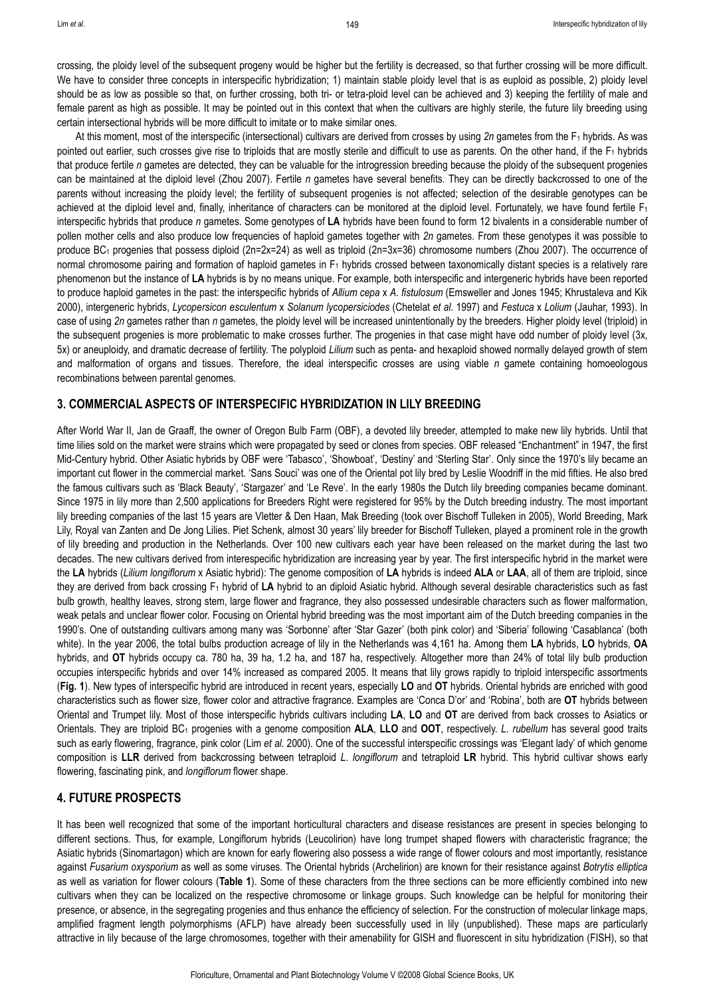crossing, the ploidy level of the subsequent progeny would be higher but the fertility is decreased, so that further crossing will be more difficult. We have to consider three concepts in interspecific hybridization; 1) maintain stable ploidy level that is as euploid as possible, 2) ploidy level should be as low as possible so that, on further crossing, both tri- or tetra-ploid level can be achieved and 3) keeping the fertility of male and female parent as high as possible. It may be pointed out in this context that when the cultivars are highly sterile, the future lily breeding using certain intersectional hybrids will be more difficult to imitate or to make similar ones.

At this moment, most of the interspecific (intersectional) cultivars are derived from crosses by using 2n gametes from the F<sub>1</sub> hybrids. As was pointed out earlier, such crosses give rise to triploids that are mostly sterile and difficult to use as parents. On the other hand, if the F<sub>1</sub> hybrids that produce fertile *n* gametes are detected, they can be valuable for the introgression breeding because the ploidy of the subsequent progenies can be maintained at the diploid level (Zhou 2007). Fertile *n* gametes have several benefits. They can be directly backcrossed to one of the parents without increasing the ploidy level; the fertility of subsequent progenies is not affected; selection of the desirable genotypes can be achieved at the diploid level and, finally, inheritance of characters can be monitored at the diploid level. Fortunately, we have found fertile  $F_1$ interspecific hybrids that produce *n* gametes. Some genotypes of **LA** hybrids have been found to form 12 bivalents in a considerable number of pollen mother cells and also produce low frequencies of haploid gametes together with *2n* gametes. From these genotypes it was possible to produce BC<sub>1</sub> progenies that possess diploid (2n=2x=24) as well as triploid (2n=3x=36) chromosome numbers (Zhou 2007). The occurrence of normal chromosome pairing and formation of haploid gametes in  $F_1$  hybrids crossed between taxonomically distant species is a relatively rare phenomenon but the instance of **LA** hybrids is by no means unique. For example, both interspecific and intergeneric hybrids have been reported to produce haploid gametes in the past: the interspecific hybrids of *Allium cepa* x *A*. *fistulosum* (Emsweller and Jones 1945; Khrustaleva and Kik 2000), intergeneric hybrids, *Lycopersicon esculentum* x *Solanum lycopersiciodes* (Chetelat *et al*. 1997) and *Festuca* x *Lolium* (Jauhar, 1993). In case of using *2n* gametes rather than *n* gametes, the ploidy level will be increased unintentionally by the breeders. Higher ploidy level (triploid) in the subsequent progenies is more problematic to make crosses further. The progenies in that case might have odd number of ploidy level (3x, 5x) or aneuploidy, and dramatic decrease of fertility. The polyploid *Lilium* such as penta- and hexaploid showed normally delayed growth of stem and malformation of organs and tissues. Therefore, the ideal interspecific crosses are using viable *n* gamete containing homoeologous recombinations between parental genomes.

#### **3. COMMERCIAL ASPECTS OF INTERSPECIFIC HYBRIDIZATION IN LILY BREEDING**

After World War II, Jan de Graaff, the owner of Oregon Bulb Farm (OBF), a devoted lily breeder, attempted to make new lily hybrids. Until that time lilies sold on the market were strains which were propagated by seed or clones from species. OBF released "Enchantment" in 1947, the first Mid-Century hybrid. Other Asiatic hybrids by OBF were 'Tabasco', 'Showboat', 'Destiny' and 'Sterling Star'. Only since the 1970's lily became an important cut flower in the commercial market. 'Sans Souci' was one of the Oriental pot lily bred by Leslie Woodriff in the mid fifties. He also bred the famous cultivars such as 'Black Beauty', 'Stargazer' and 'Le Reve'. In the early 1980s the Dutch lily breeding companies became dominant. Since 1975 in lily more than 2,500 applications for Breeders Right were registered for 95% by the Dutch breeding industry. The most important lily breeding companies of the last 15 years are Vletter & Den Haan, Mak Breeding (took over Bischoff Tulleken in 2005), World Breeding, Mark Lily, Royal van Zanten and De Jong Lilies. Piet Schenk, almost 30 years' lily breeder for Bischoff Tulleken, played a prominent role in the growth of lily breeding and production in the Netherlands. Over 100 new cultivars each year have been released on the market during the last two decades. The new cultivars derived from interespecific hybridization are increasing year by year. The first interspecific hybrid in the market were the **LA** hybrids (*Lilium longiflorum* x Asiatic hybrid): The genome composition of **LA** hybrids is indeed **ALA** or **LAA**, all of them are triploid, since they are derived from back crossing F1 hybrid of **LA** hybrid to an diploid Asiatic hybrid. Although several desirable characteristics such as fast bulb growth, healthy leaves, strong stem, large flower and fragrance, they also possessed undesirable characters such as flower malformation, weak petals and unclear flower color. Focusing on Oriental hybrid breeding was the most important aim of the Dutch breeding companies in the 1990's. One of outstanding cultivars among many was 'Sorbonne' after 'Star Gazer' (both pink color) and 'Siberia' following 'Casablanca' (both white). In the year 2006, the total bulbs production acreage of lily in the Netherlands was 4,161 ha. Among them **LA** hybrids, **LO** hybrids, **OA** hybrids, and **OT** hybrids occupy ca. 780 ha, 39 ha, 1.2 ha, and 187 ha, respectively. Altogether more than 24% of total lily bulb production occupies interspecific hybrids and over 14% increased as compared 2005. It means that lily grows rapidly to triploid interspecific assortments (**Fig. 1**). New types of interspecific hybrid are introduced in recent years, especially **LO** and **OT** hybrids. Oriental hybrids are enriched with good characteristics such as flower size, flower color and attractive fragrance. Examples are 'Conca D'or' and 'Robina', both are **OT** hybrids between Oriental and Trumpet lily. Most of those interspecific hybrids cultivars including **LA**, **LO** and **OT** are derived from back crosses to Asiatics or Orientals. They are triploid BC1 progenies with a genome composition **ALA**, **LLO** and **OOT**, respectively. *L*. *rubellum* has several good traits such as early flowering, fragrance, pink color (Lim *et al*. 2000). One of the successful interspecific crossings was 'Elegant lady' of which genome composition is **LLR** derived from backcrossing between tetraploid *L*. *longiflorum* and tetraploid **LR** hybrid. This hybrid cultivar shows early flowering, fascinating pink, and *longiflorum* flower shape.

### **4. FUTURE PROSPECTS**

It has been well recognized that some of the important horticultural characters and disease resistances are present in species belonging to different sections. Thus, for example, Longiflorum hybrids (Leucolirion) have long trumpet shaped flowers with characteristic fragrance; the Asiatic hybrids (Sinomartagon) which are known for early flowering also possess a wide range of flower colours and most importantly, resistance against *Fusarium oxysporium* as well as some viruses. The Oriental hybrids (Archelirion) are known for their resistance against *Botrytis elliptica* as well as variation for flower colours (**Table 1**). Some of these characters from the three sections can be more efficiently combined into new cultivars when they can be localized on the respective chromosome or linkage groups. Such knowledge can be helpful for monitoring their presence, or absence, in the segregating progenies and thus enhance the efficiency of selection. For the construction of molecular linkage maps, amplified fragment length polymorphisms (AFLP) have already been successfully used in lily (unpublished). These maps are particularly attractive in lily because of the large chromosomes, together with their amenability for GISH and fluorescent in situ hybridization (FISH), so that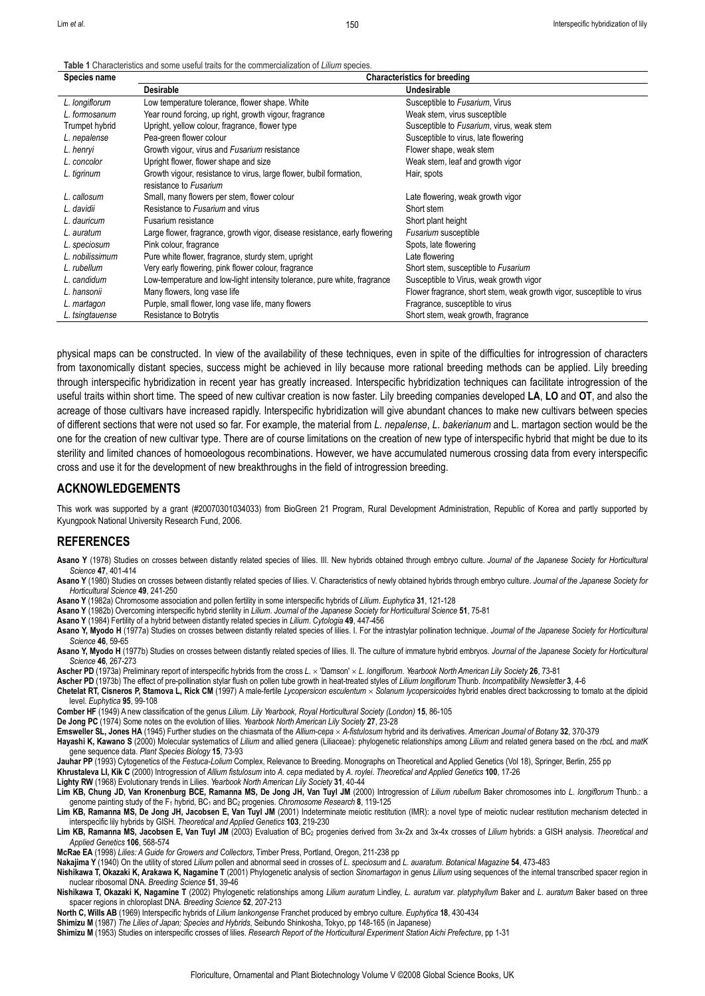150

**Table 1** Characteristics and some useful traits for the commercialization of *Lilium* species.

| Species name    | <b>Characteristics for breeding</b>                                        |                                                                       |
|-----------------|----------------------------------------------------------------------------|-----------------------------------------------------------------------|
|                 | <b>Desirable</b>                                                           | Undesirable                                                           |
| L. longiflorum  | Low temperature tolerance, flower shape. White                             | Susceptible to Fusarium, Virus                                        |
| L. formosanum   | Year round forcing, up right, growth vigour, fragrance                     | Weak stem, virus susceptible                                          |
| Trumpet hybrid  | Upright, yellow colour, fragrance, flower type                             | Susceptible to Fusarium, virus, weak stem                             |
| L. nepalense    | Pea-green flower colour                                                    | Susceptible to virus, late flowering                                  |
| L. henryi       | Growth vigour, virus and Fusarium resistance                               | Flower shape, weak stem                                               |
| L. concolor     | Upright flower, flower shape and size                                      | Weak stem, leaf and growth vigor                                      |
| L. tigrinum     | Growth vigour, resistance to virus, large flower, bulbil formation,        | Hair, spots                                                           |
|                 | resistance to Fusarium                                                     |                                                                       |
| L. callosum     | Small, many flowers per stem, flower colour                                | Late flowering, weak growth vigor                                     |
| L. davidii      | Resistance to Fusarium and virus                                           | Short stem                                                            |
| L. dauricum     | Fusarium resistance                                                        | Short plant height                                                    |
| L. auratum      | Large flower, fragrance, growth vigor, disease resistance, early flowering | Fusarium susceptible                                                  |
| L. speciosum    | Pink colour, fragrance                                                     | Spots, late flowering                                                 |
| L. nobilissimum | Pure white flower, fragrance, sturdy stem, upright                         | Late flowering                                                        |
| L. rubellum     | Very early flowering, pink flower colour, fragrance                        | Short stem, susceptible to Fusarium                                   |
| L. candidum     | Low-temperature and low-light intensity tolerance, pure white, fragrance   | Susceptible to Virus, weak growth vigor                               |
| L. hansonii     | Many flowers, long vase life                                               | Flower fragrance, short stem, weak growth vigor, susceptible to virus |
| L. martagon     | Purple, small flower, long vase life, many flowers                         | Fragrance, susceptible to virus                                       |
| L. tsingtauense | Resistance to Botrytis                                                     | Short stem, weak growth, fragrance                                    |

physical maps can be constructed. In view of the availability of these techniques, even in spite of the difficulties for introgression of characters from taxonomically distant species, success might be achieved in lily because more rational breeding methods can be applied. Lily breeding through interspecific hybridization in recent year has greatly increased. Interspecific hybridization techniques can facilitate introgression of the useful traits within short time. The speed of new cultivar creation is now faster. Lily breeding companies developed **LA**, **LO** and **OT**, and also the acreage of those cultivars have increased rapidly. Interspecific hybridization will give abundant chances to make new cultivars between species of different sections that were not used so far. For example, the material from *L*. *nepalense*, *L*. *bakerianum* and L. martagon section would be the one for the creation of new cultivar type. There are of course limitations on the creation of new type of interspecific hybrid that might be due to its sterility and limited chances of homoeologous recombinations. However, we have accumulated numerous crossing data from every interspecific cross and use it for the development of new breakthroughs in the field of introgression breeding.

#### **ACKNOWLEDGEMENTS**

This work was supported by a grant (#20070301034033) from BioGreen 21 Program, Rural Development Administration, Republic of Korea and partly supported by Kyungpook National University Research Fund, 2006.

#### **REFERENCES**

- **Asano Y** (1978) Studies on crosses between distantly related species of lilies. III. New hybrids obtained through embryo culture. *Journal of the Japanese Society for Horticultural Science* **47**, 401-414
- **Asano Y** (1980) Studies on crosses between distantly related species of lilies. V. Characteristics of newly obtained hybrids through embryo culture. *Journal of the Japanese Society for Horticultural Science* **49**, 241-250
- **Asano Y** (1982a) Chromosome association and pollen fertility in some interspecific hybrids of *Lilium*. *Euphytica* **31**, 121-128
- **Asano Y** (1982b) Overcoming interspecific hybrid sterility in *Lilium*. *Journal of the Japanese Society for Horticultural Science* **51**, 75-81
- **Asano Y** (1984) Fertility of a hybrid between distantly related species in *Lilium*. *Cytologia* **49**, 447-456
- **Asano Y, Myodo H** (1977a) Studies on crosses between distantly related species of lilies. I. For the intrastylar pollination technique. *Journal of the Japanese Society for Horticultural Science* **46**, 59-65
- **Asano Y, Myodo H** (1977b) Studies on crosses between distantly related species of lilies. II. The culture of immature hybrid embryos. *Journal of the Japanese Society for Horticultural Science* **46**, 267-273
- **Ascher PD** (1973a) Preliminary report of interspecific hybrids from the cross *L*. × 'Damson' × *L*. *longiflorum*. *Yearbook North American Lily Society* **26**, 73-81
- **Ascher PD** (1973b) The effect of pre-pollination stylar flush on pollen tube growth in heat-treated styles of *Lilium longiflorum* Thunb. *Incompatibility Newsletter* **3**, 4-6
- **Chetelat RT, Cisneros P, Stamova L, Rick CM** (1997) A male-fertile *Lycopersicon esculentum* × *Solanum lycopersicoides* hybrid enables direct backcrossing to tomato at the diploid level. *Euphytica* **95**, 99-108
- **Comber HF** (1949) A new classification of the genus *Lilium*. *Lily Yearbook, Royal Horticultural Society (London)* **15**, 86-105
- **De Jong PC** (1974) Some notes on the evolution of lilies. *Yearbook North American Lily Society* **27**, 23-28
- **Emsweller SL, Jones HA** (1945) Further studies on the chiasmata of the *Allium*-*cepa* × *A-fistulosum* hybrid and its derivatives. *American Journal of Botany* **32**, 370-379
- **Hayashi K, Kawano S** (2000) Molecular systematics of *Lilium* and allied genera (Liliaceae): phylogenetic relationships among *Lilium* and related genera based on the *rbcL* and *matK* gene sequence data. *Plant Species Biology* **15**, 73-93
- **Jauhar PP** (1993) Cytogenetics of the *Festuca-Lolium* Complex, Relevance to Breeding. Monographs on Theoretical and Applied Genetics (Vol 18), Springer, Berlin, 255 pp

**Khrustaleva LI, Kik C** (2000) Introgression of *Allium fistulosum* into *A*. *cepa* mediated by *A*. *roylei*. *Theoretical and Applied Genetics* **100**, 17-26

**Lighty RW** (1968) Evolutionary trends in Lilies. *Yearbook North American Lily Society* **31**, 40-44

- **Lim KB, Chung JD, Van Kronenburg BCE, Ramanna MS, De Jong JH, Van Tuyl JM** (2000) Introgression of *Lilium rubellum* Baker chromosomes into *L*. *longiflorum* Thunb.: a genome painting study of the F<sub>1</sub> hybrid, BC<sub>1</sub> and BC<sub>2</sub> progenies. *Chromosome Research* 8, 119-125
- Lim KB, Ramanna MS, De Jong JH, Jacobsen E, Van Tuyl JM (2001) Indeterminate meiotic restitution (IMR): a novel type of meiotic nuclear restitution mechanism detected in interspecific lily hybrids by GISH. *Theoretical and Applied Genetics* **103**, 219-230
- **Lim KB, Ramanna MS, Jacobsen E, Van Tuyl JM** (2003) Evaluation of BC2 progenies derived from 3x-2x and 3x-4x crosses of *Lilium* hybrids: a GISH analysis. *Theoretical and Applied Genetics* **106**, 568-574
- **McRae EA** (1998) *Lilies: A Guide for Growers and Collectors*, Timber Press, Portland, Oregon, 211-238 pp
- **Nakajima Y** (1940) On the utility of stored *Lilium* pollen and abnormal seed in crosses of *L*. *speciosum* and *L*. *auaratum*. *Botanical Magazine* **54**, 473-483
- **Nishikawa T, Okazaki K, Arakawa K, Nagamine T** (2001) Phylogenetic analysis of section *Sinomartagon* in genus *Lilium* using sequences of the internal transcribed spacer region in nuclear ribosomal DNA. *Breeding Science* **51**, 39-46
- **Nishikawa T, Okazaki K, Nagamine T** (2002) Phylogenetic relationships among *Lilium auratum* Lindley, *L*. *auratum* var. *platyphyllum* Baker and *L*. *auratum* Baker based on three spacer regions in chloroplast DNA. *Breeding Science* **52**, 207-213
- **North C, Wills AB** (1969) Interspecific hybrids of *Lilium lankongense* Franchet produced by embryo culture. *Euphytica* **18**, 430-434
- **Shimizu M** (1987) *The Lilies of Japan; Species and Hybrids*, Seibundo Shinkosha, Tokyo, pp 148-165 (in Japanese)
- **Shimizu M** (1953) Studies on interspecific crosses of lilies. *Research Report of the Horticultural Experiment Station Aichi Prefecture*, pp 1-31